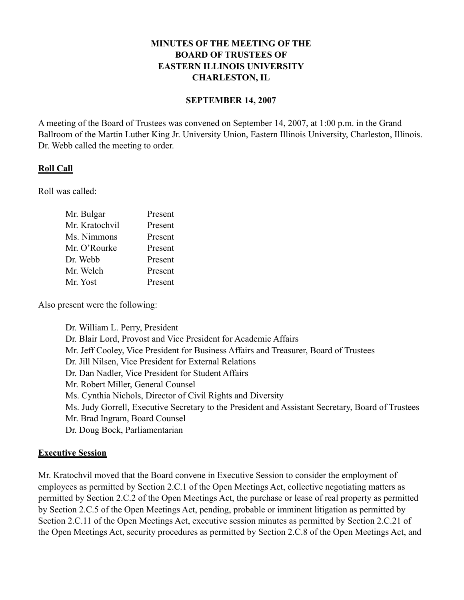# **MINUTES OF THE MEETING OF THE BOARD OF TRUSTEES OF EASTERN ILLINOIS UNIVERSITY CHARLESTON, IL**

### **SEPTEMBER 14, 2007**

A meeting of the Board of Trustees was convened on September 14, 2007, at 1:00 p.m. in the Grand Ballroom of the Martin Luther King Jr. University Union, Eastern Illinois University, Charleston, Illinois. Dr. Webb called the meeting to order.

# **Roll Call**

Roll was called:

| Mr. Bulgar     | Present |
|----------------|---------|
| Mr. Kratochvil | Present |
| Ms. Nimmons    | Present |
| Mr. O'Rourke   | Present |
| Dr. Webb       | Present |
| Mr. Welch      | Present |
| Mr. Yost       | Present |

Also present were the following:

Dr. William L. Perry, President Dr. Blair Lord, Provost and Vice President for Academic Affairs Mr. Jeff Cooley, Vice President for Business Affairs and Treasurer, Board of Trustees Dr. Jill Nilsen, Vice President for External Relations Dr. Dan Nadler, Vice President for Student Affairs Mr. Robert Miller, General Counsel Ms. Cynthia Nichols, Director of Civil Rights and Diversity Ms. Judy Gorrell, Executive Secretary to the President and Assistant Secretary, Board of Trustees Mr. Brad Ingram, Board Counsel Dr. Doug Bock, Parliamentarian

# **Executive Session**

Mr. Kratochvil moved that the Board convene in Executive Session to consider the employment of employees as permitted by Section 2.C.1 of the Open Meetings Act, collective negotiating matters as permitted by Section 2.C.2 of the Open Meetings Act, the purchase or lease of real property as permitted by Section 2.C.5 of the Open Meetings Act, pending, probable or imminent litigation as permitted by Section 2.C.11 of the Open Meetings Act, executive session minutes as permitted by Section 2.C.21 of the Open Meetings Act, security procedures as permitted by Section 2.C.8 of the Open Meetings Act, and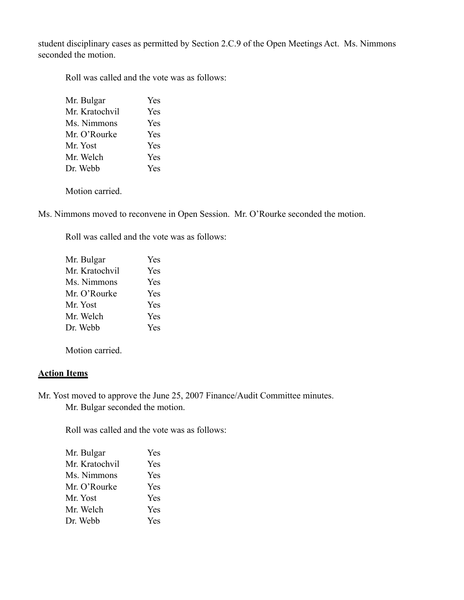student disciplinary cases as permitted by Section 2.C.9 of the Open Meetings Act. Ms. Nimmons seconded the motion.

Roll was called and the vote was as follows:

| Mr. Bulgar     | Yes |
|----------------|-----|
| Mr. Kratochvil | Yes |
| Ms. Nimmons    | Yes |
| Mr. O'Rourke   | Yes |
| Mr. Yost       | Yes |
| Mr. Welch      | Yes |
| Dr. Webb       | Yes |

Motion carried.

Ms. Nimmons moved to reconvene in Open Session. Mr. O'Rourke seconded the motion.

Roll was called and the vote was as follows:

| Mr. Bulgar     | Yes        |
|----------------|------------|
| Mr. Kratochvil | <b>Yes</b> |
| Ms. Nimmons    | Yes        |
| Mr. O'Rourke   | <b>Yes</b> |
| Mr. Yost       | <b>Yes</b> |
| Mr. Welch      | Yes        |
| Dr. Webb       | Yes        |
|                |            |

Motion carried.

# **Action Items**

Mr. Yost moved to approve the June 25, 2007 Finance/Audit Committee minutes. Mr. Bulgar seconded the motion.

Roll was called and the vote was as follows:

| Mr. Bulgar     | Yes |
|----------------|-----|
| Mr. Kratochvil | Yes |
| Ms. Nimmons    | Yes |
| Mr. O'Rourke   | Yes |
| Mr. Yost       | Yes |
| Mr. Welch      | Yes |
| Dr. Webb       | Yes |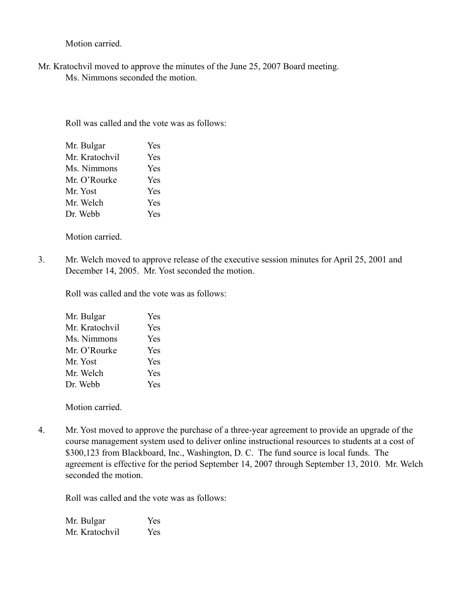Motion carried.

Mr. Kratochvil moved to approve the minutes of the June 25, 2007 Board meeting. Ms. Nimmons seconded the motion.

Roll was called and the vote was as follows:

| Mr. Bulgar     | Yes        |
|----------------|------------|
| Mr. Kratochvil | Yes        |
| Ms. Nimmons    | Yes        |
| Mr. O'Rourke   | <b>Yes</b> |
| Mr. Yost       | <b>Yes</b> |
| Mr. Welch      | Yes        |
| Dr. Webb       | <b>Yes</b> |

Motion carried.

3. Mr. Welch moved to approve release of the executive session minutes for April 25, 2001 and December 14, 2005. Mr. Yost seconded the motion.

Roll was called and the vote was as follows:

| Mr. Bulgar     | Yes |
|----------------|-----|
| Mr. Kratochvil | Yes |
| Ms. Nimmons    | Yes |
| Mr. O'Rourke   | Yes |
| Mr. Yost       | Yes |
| Mr. Welch      | Yes |
| Dr. Webb       | Yes |

Motion carried.

4. Mr. Yost moved to approve the purchase of a three-year agreement to provide an upgrade of the course management system used to deliver online instructional resources to students at a cost of \$300,123 from Blackboard, Inc., Washington, D. C. The fund source is local funds. The agreement is effective for the period September 14, 2007 through September 13, 2010. Mr. Welch seconded the motion.

Roll was called and the vote was as follows:

Mr. Bulgar Yes Mr. Kratochvil Yes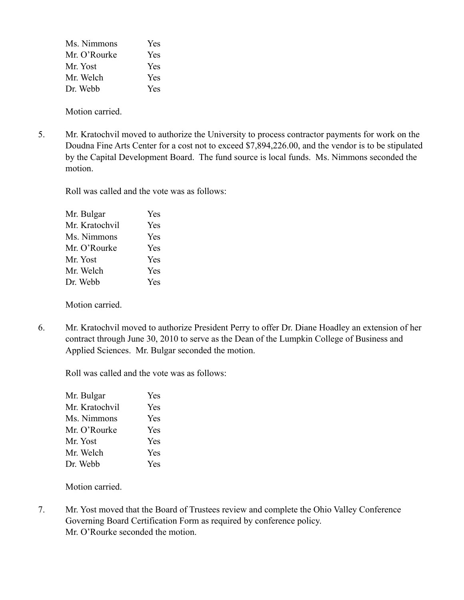| <b>Yes</b> |
|------------|
| <b>Yes</b> |
| Yes        |
| <b>Yes</b> |
| Yes        |
|            |

Motion carried.

5. Mr. Kratochvil moved to authorize the University to process contractor payments for work on the Doudna Fine Arts Center for a cost not to exceed \$7,894,226.00, and the vendor is to be stipulated by the Capital Development Board. The fund source is local funds. Ms. Nimmons seconded the motion.

Roll was called and the vote was as follows:

| Mr. Bulgar     | Yes |
|----------------|-----|
| Mr. Kratochvil | Yes |
| Ms. Nimmons    | Yes |
| Mr. O'Rourke   | Yes |
| Mr. Yost       | Yes |
| Mr. Welch      | Yes |
| Dr. Webb       | Yes |
|                |     |

Motion carried.

6. Mr. Kratochvil moved to authorize President Perry to offer Dr. Diane Hoadley an extension of her contract through June 30, 2010 to serve as the Dean of the Lumpkin College of Business and Applied Sciences. Mr. Bulgar seconded the motion.

Roll was called and the vote was as follows:

| Mr. Bulgar     | Yes        |
|----------------|------------|
| Mr. Kratochvil | Yes        |
| Ms. Nimmons    | <b>Yes</b> |
| Mr. O'Rourke   | Yes        |
| Mr. Yost       | Yes        |
| Mr. Welch      | Yes        |
| Dr. Webb       | Yes        |

Motion carried.

7. Mr. Yost moved that the Board of Trustees review and complete the Ohio Valley Conference Governing Board Certification Form as required by conference policy. Mr. O'Rourke seconded the motion.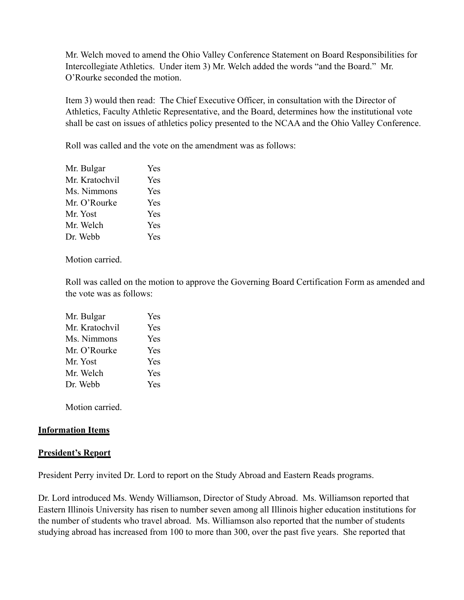Mr. Welch moved to amend the Ohio Valley Conference Statement on Board Responsibilities for Intercollegiate Athletics. Under item 3) Mr. Welch added the words "and the Board." Mr. O'Rourke seconded the motion.

Item 3) would then read: The Chief Executive Officer, in consultation with the Director of Athletics, Faculty Athletic Representative, and the Board, determines how the institutional vote shall be cast on issues of athletics policy presented to the NCAA and the Ohio Valley Conference.

Roll was called and the vote on the amendment was as follows:

| Mr. Bulgar     | <b>Yes</b> |
|----------------|------------|
| Mr. Kratochvil | <b>Yes</b> |
| Ms. Nimmons    | <b>Yes</b> |
| Mr. O'Rourke   | <b>Yes</b> |
| Mr. Yost       | Yes        |
| Mr. Welch      | <b>Yes</b> |
| Dr. Webb       | Yes        |
|                |            |

Motion carried.

Roll was called on the motion to approve the Governing Board Certification Form as amended and the vote was as follows:

| Mr. Bulgar     | <b>Yes</b> |
|----------------|------------|
| Mr. Kratochvil | Yes        |
| Ms. Nimmons    | Yes        |
| Mr. O'Rourke   | Yes        |
| Mr. Yost       | Yes        |
| Mr. Welch      | Yes        |
| Dr. Webb       | <b>Yes</b> |

Motion carried.

### **Information Items**

### **President's Report**

President Perry invited Dr. Lord to report on the Study Abroad and Eastern Reads programs.

Dr. Lord introduced Ms. Wendy Williamson, Director of Study Abroad. Ms. Williamson reported that Eastern Illinois University has risen to number seven among all Illinois higher education institutions for the number of students who travel abroad. Ms. Williamson also reported that the number of students studying abroad has increased from 100 to more than 300, over the past five years. She reported that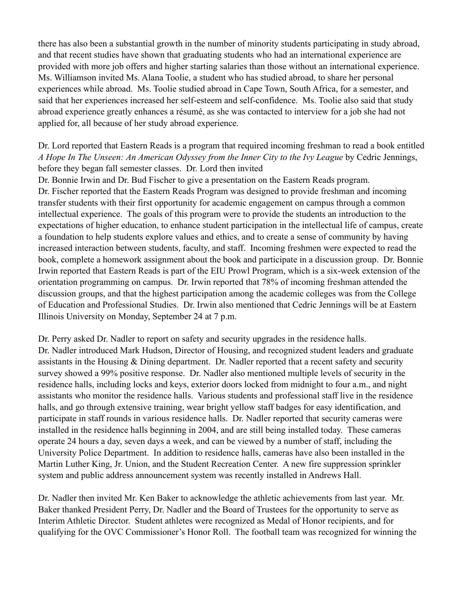there has also been a substantial growth in the number of minority students participating in study abroad, and that recent studies have shown that graduating students who had an international experience are provided with more job offers and higher starting salaries than those without an international experience. Ms. Williamson invited Ms. Alana Toolie, a student who has studied abroad, to share her personal experiences while abroad. Ms. Toolie studied abroad in Cape Town, South Africa, for a semester, and said that her experiences increased her self-esteem and self-confidence. Ms. Toolie also said that study abroad experience greatly enhances a résumé, as she was contacted to interview for a job she had not applied for, all because of her study abroad experience.

# Dr. Lord reported that Eastern Reads is a program that required incoming freshman to read a book entitled *A Hope In The Unseen: An American Odyssey from the Inner City to the Ivy League* by Cedric Jennings, before they began fall semester classes. Dr. Lord then invited

Dr. Bonnie Irwin and Dr. Bud Fischer to give a presentation on the Eastern Reads program. Dr. Fischer reported that the Eastern Reads Program was designed to provide freshman and incoming transfer students with their first opportunity for academic engagement on campus through a common intellectual experience. The goals of this program were to provide the students an introduction to the expectations of higher education, to enhance student participation in the intellectual life of campus, create a foundation to help students explore values and ethics, and to create a sense of community by having increased interaction between students, faculty, and staff. Incoming freshmen were expected to read the book, complete a homework assignment about the book and participate in a discussion group. Dr. Bonnie Irwin reported that Eastern Reads is part of the EIU Prowl Program, which is a six-week extension of the orientation programming on campus. Dr. Irwin reported that 78% of incoming freshman attended the discussion groups, and that the highest participation among the academic colleges was from the College of Education and Professional Studies. Dr. Irwin also mentioned that Cedric Jennings will be at Eastern Illinois University on Monday, September 24 at 7 p.m.

Dr. Perry asked Dr. Nadler to report on safety and security upgrades in the residence halls. Dr. Nadler introduced Mark Hudson, Director of Housing, and recognized student leaders and graduate assistants in the Housing & Dining department. Dr. Nadler reported that a recent safety and security survey showed a 99% positive response. Dr. Nadler also mentioned multiple levels of security in the residence halls, including locks and keys, exterior doors locked from midnight to four a.m., and night assistants who monitor the residence halls. Various students and professional staff live in the residence halls, and go through extensive training, wear bright yellow staff badges for easy identification, and participate in staff rounds in various residence halls. Dr. Nadler reported that security cameras were installed in the residence halls beginning in 2004, and are still being installed today. These cameras operate 24 hours a day, seven days a week, and can be viewed by a number of staff, including the University Police Department. In addition to residence halls, cameras have also been installed in the Martin Luther King, Jr. Union, and the Student Recreation Center. A new fire suppression sprinkler system and public address announcement system was recently installed in Andrews Hall.

Dr. Nadler then invited Mr. Ken Baker to acknowledge the athletic achievements from last year. Mr. Baker thanked President Perry, Dr. Nadler and the Board of Trustees for the opportunity to serve as Interim Athletic Director. Student athletes were recognized as Medal of Honor recipients, and for qualifying for the OVC Commissioner's Honor Roll. The football team was recognized for winning the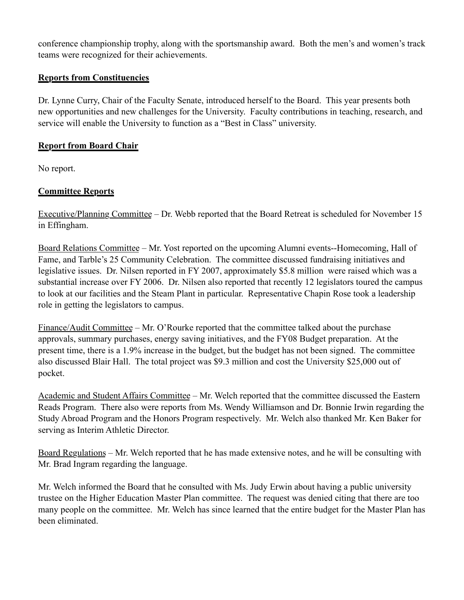conference championship trophy, along with the sportsmanship award. Both the men's and women's track teams were recognized for their achievements.

# **Reports from Constituencies**

Dr. Lynne Curry, Chair of the Faculty Senate, introduced herself to the Board. This year presents both new opportunities and new challenges for the University. Faculty contributions in teaching, research, and service will enable the University to function as a "Best in Class" university.

# **Report from Board Chair**

No report.

# **Committee Reports**

Executive/Planning Committee – Dr. Webb reported that the Board Retreat is scheduled for November 15 in Effingham.

Board Relations Committee – Mr. Yost reported on the upcoming Alumni events--Homecoming, Hall of Fame, and Tarble's 25 Community Celebration. The committee discussed fundraising initiatives and legislative issues. Dr. Nilsen reported in FY 2007, approximately \$5.8 million were raised which was a substantial increase over FY 2006. Dr. Nilsen also reported that recently 12 legislators toured the campus to look at our facilities and the Steam Plant in particular. Representative Chapin Rose took a leadership role in getting the legislators to campus.

Finance/Audit Committee – Mr. O'Rourke reported that the committee talked about the purchase approvals, summary purchases, energy saving initiatives, and the FY08 Budget preparation. At the present time, there is a 1.9% increase in the budget, but the budget has not been signed. The committee also discussed Blair Hall. The total project was \$9.3 million and cost the University \$25,000 out of pocket.

Academic and Student Affairs Committee – Mr. Welch reported that the committee discussed the Eastern Reads Program. There also were reports from Ms. Wendy Williamson and Dr. Bonnie Irwin regarding the Study Abroad Program and the Honors Program respectively. Mr. Welch also thanked Mr. Ken Baker for serving as Interim Athletic Director.

Board Regulations – Mr. Welch reported that he has made extensive notes, and he will be consulting with Mr. Brad Ingram regarding the language.

Mr. Welch informed the Board that he consulted with Ms. Judy Erwin about having a public university trustee on the Higher Education Master Plan committee. The request was denied citing that there are too many people on the committee. Mr. Welch has since learned that the entire budget for the Master Plan has been eliminated.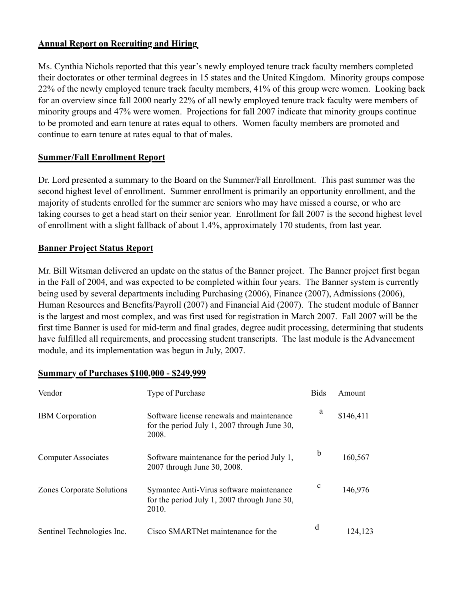# **Annual Report on Recruiting and Hiring**

Ms. Cynthia Nichols reported that this year's newly employed tenure track faculty members completed their doctorates or other terminal degrees in 15 states and the United Kingdom. Minority groups compose 22% of the newly employed tenure track faculty members, 41% of this group were women. Looking back for an overview since fall 2000 nearly 22% of all newly employed tenure track faculty were members of minority groups and 47% were women. Projections for fall 2007 indicate that minority groups continue to be promoted and earn tenure at rates equal to others. Women faculty members are promoted and continue to earn tenure at rates equal to that of males.

### **Summer/Fall Enrollment Report**

Dr. Lord presented a summary to the Board on the Summer/Fall Enrollment. This past summer was the second highest level of enrollment. Summer enrollment is primarily an opportunity enrollment, and the majority of students enrolled for the summer are seniors who may have missed a course, or who are taking courses to get a head start on their senior year. Enrollment for fall 2007 is the second highest level of enrollment with a slight fallback of about 1.4%, approximately 170 students, from last year.

# **Banner Project Status Report**

Mr. Bill Witsman delivered an update on the status of the Banner project. The Banner project first began in the Fall of 2004, and was expected to be completed within four years. The Banner system is currently being used by several departments including Purchasing (2006), Finance (2007), Admissions (2006), Human Resources and Benefits/Payroll (2007) and Financial Aid (2007). The student module of Banner is the largest and most complex, and was first used for registration in March 2007. Fall 2007 will be the first time Banner is used for mid-term and final grades, degree audit processing, determining that students have fulfilled all requirements, and processing student transcripts. The last module is the Advancement module, and its implementation was begun in July, 2007.

| Vendor                           | Type of Purchase                                                                                   | <b>Bids</b> | Amount    |
|----------------------------------|----------------------------------------------------------------------------------------------------|-------------|-----------|
| <b>IBM</b> Corporation           | Software license renewals and maintenance<br>for the period July 1, 2007 through June 30,<br>2008. | a           | \$146,411 |
| <b>Computer Associates</b>       | Software maintenance for the period July 1,<br>2007 through June 30, 2008.                         | b           | 160,567   |
| <b>Zones Corporate Solutions</b> | Symantec Anti-Virus software maintenance<br>for the period July 1, 2007 through June 30,<br>2010.  | $\mathbf c$ | 146,976   |
| Sentinel Technologies Inc.       | Cisco SMARTNet maintenance for the                                                                 | d           | 124,123   |

### **Summary of Purchases \$100,000 - \$249,999**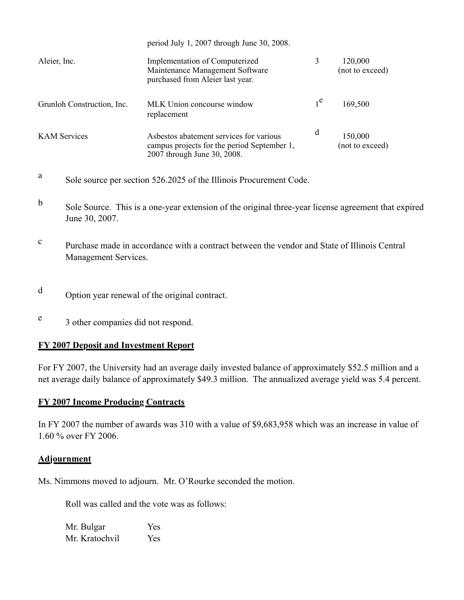|                            | period July 1, 2007 through June 30, 2008.                                                                            |                |                            |
|----------------------------|-----------------------------------------------------------------------------------------------------------------------|----------------|----------------------------|
| Aleier, Inc.               | <b>Implementation of Computerized</b><br>Maintenance Management Software<br>purchased from Aleier last year.          |                | 120,000<br>(not to exceed) |
| Grunloh Construction, Inc. | MLK Union concourse window<br>replacement                                                                             | 1 <sup>e</sup> | 169,500                    |
| <b>KAM</b> Services        | Asbestos abatement services for various<br>campus projects for the period September 1,<br>2007 through June 30, 2008. | d              | 150,000<br>(not to exceed) |

- <sup>a</sup> Sole source per section 526.2025 of the Illinois Procurement Code.
- b Sole Source. This is a one-year extension of the original three-year license agreement that expired June 30, 2007.
- <sup>c</sup> Purchase made in accordance with a contract between the vendor and State of Illinois Central Management Services.
- <sup>d</sup> Option year renewal of the original contract.
- <sup>e</sup> 3 other companies did not respond.

# **FY 2007 Deposit and Investment Report**

For FY 2007, the University had an average daily invested balance of approximately \$52.5 million and a net average daily balance of approximately \$49.3 million. The annualized average yield was 5.4 percent.

# **FY 2007 Income Producing Contracts**

In FY 2007 the number of awards was 310 with a value of \$9,683,958 which was an increase in value of 1.60 % over FY 2006.

### **Adjournment**

Ms. Nimmons moved to adjourn. Mr. O'Rourke seconded the motion.

Roll was called and the vote was as follows:

Mr. Bulgar Yes Mr. Kratochvil Yes